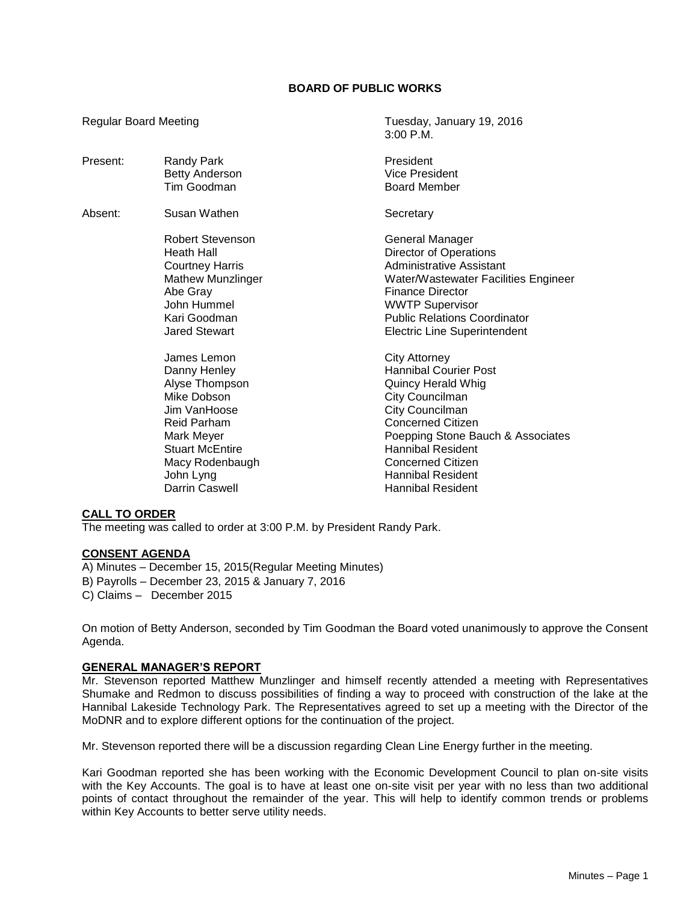# **BOARD OF PUBLIC WORKS**

Regular Board Meeting Tuesday, January 19, 2016

|          |                                     | $3:00$ P.M.                          |
|----------|-------------------------------------|--------------------------------------|
| Present: | Randy Park<br><b>Betty Anderson</b> | President<br><b>Vice President</b>   |
|          | Tim Goodman                         | <b>Board Member</b>                  |
| Absent:  | Susan Wathen                        | Secretary                            |
|          | Robert Stevenson                    | General Manager                      |
|          | Heath Hall                          | Director of Operations               |
|          | <b>Courtney Harris</b>              | <b>Administrative Assistant</b>      |
|          | <b>Mathew Munzlinger</b>            | Water/Wastewater Facilities Engineer |
|          | Abe Gray                            | Finance Director                     |
|          | John Hummel                         | <b>WWTP Supervisor</b>               |
|          | Kari Goodman                        | <b>Public Relations Coordinator</b>  |
|          | <b>Jared Stewart</b>                | <b>Electric Line Superintendent</b>  |
|          | James Lemon                         | City Attorney                        |
|          | Danny Henley                        | <b>Hannibal Courier Post</b>         |
|          | Alyse Thompson                      | <b>Quincy Herald Whig</b>            |
|          | Mike Dobson                         | City Councilman                      |
|          | Jim VanHoose                        | City Councilman                      |
|          | <b>Reid Parham</b>                  | Concerned Citizen                    |
|          | Mark Meyer                          | Poepping Stone Bauch & Associates    |
|          | <b>Stuart McEntire</b>              | Hannibal Resident                    |
|          | Macy Rodenbaugh                     | <b>Concerned Citizen</b>             |
|          | John Lyng                           | <b>Hannibal Resident</b>             |
|          | <b>Darrin Caswell</b>               | <b>Hannibal Resident</b>             |

## **CALL TO ORDER**

The meeting was called to order at 3:00 P.M. by President Randy Park.

# **CONSENT AGENDA**

A) Minutes – December 15, 2015(Regular Meeting Minutes) B) Payrolls – December 23, 2015 & January 7, 2016 C) Claims – December 2015

On motion of Betty Anderson, seconded by Tim Goodman the Board voted unanimously to approve the Consent Agenda.

### **GENERAL MANAGER'S REPORT**

Mr. Stevenson reported Matthew Munzlinger and himself recently attended a meeting with Representatives Shumake and Redmon to discuss possibilities of finding a way to proceed with construction of the lake at the Hannibal Lakeside Technology Park. The Representatives agreed to set up a meeting with the Director of the MoDNR and to explore different options for the continuation of the project.

Mr. Stevenson reported there will be a discussion regarding Clean Line Energy further in the meeting.

Kari Goodman reported she has been working with the Economic Development Council to plan on-site visits with the Key Accounts. The goal is to have at least one on-site visit per year with no less than two additional points of contact throughout the remainder of the year. This will help to identify common trends or problems within Key Accounts to better serve utility needs.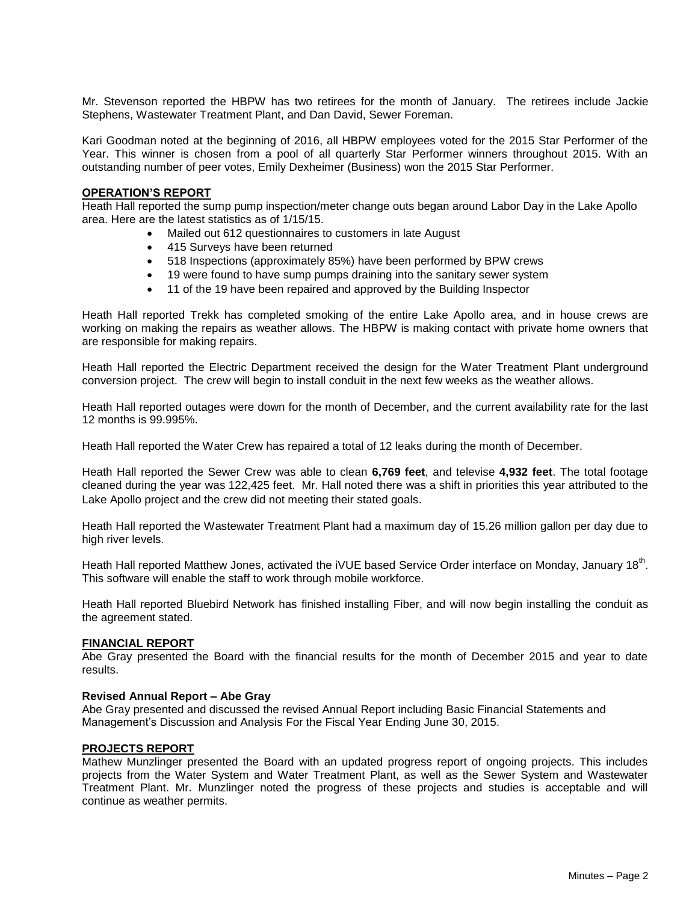Mr. Stevenson reported the HBPW has two retirees for the month of January. The retirees include Jackie Stephens, Wastewater Treatment Plant, and Dan David, Sewer Foreman.

Kari Goodman noted at the beginning of 2016, all HBPW employees voted for the 2015 Star Performer of the Year. This winner is chosen from a pool of all quarterly Star Performer winners throughout 2015. With an outstanding number of peer votes, Emily Dexheimer (Business) won the 2015 Star Performer.

### **OPERATION'S REPORT**

Heath Hall reported the sump pump inspection/meter change outs began around Labor Day in the Lake Apollo area. Here are the latest statistics as of 1/15/15.

- Mailed out 612 questionnaires to customers in late August
- 415 Surveys have been returned
- 518 Inspections (approximately 85%) have been performed by BPW crews
- 19 were found to have sump pumps draining into the sanitary sewer system
- 11 of the 19 have been repaired and approved by the Building Inspector

Heath Hall reported Trekk has completed smoking of the entire Lake Apollo area, and in house crews are working on making the repairs as weather allows. The HBPW is making contact with private home owners that are responsible for making repairs.

Heath Hall reported the Electric Department received the design for the Water Treatment Plant underground conversion project. The crew will begin to install conduit in the next few weeks as the weather allows.

Heath Hall reported outages were down for the month of December, and the current availability rate for the last 12 months is 99.995%.

Heath Hall reported the Water Crew has repaired a total of 12 leaks during the month of December.

Heath Hall reported the Sewer Crew was able to clean **6,769 feet**, and televise **4,932 feet**. The total footage cleaned during the year was 122,425 feet. Mr. Hall noted there was a shift in priorities this year attributed to the Lake Apollo project and the crew did not meeting their stated goals.

Heath Hall reported the Wastewater Treatment Plant had a maximum day of 15.26 million gallon per day due to high river levels.

Heath Hall reported Matthew Jones, activated the iVUE based Service Order interface on Monday, January 18<sup>th</sup>. This software will enable the staff to work through mobile workforce.

Heath Hall reported Bluebird Network has finished installing Fiber, and will now begin installing the conduit as the agreement stated.

## **FINANCIAL REPORT**

Abe Gray presented the Board with the financial results for the month of December 2015 and year to date results.

## **Revised Annual Report – Abe Gray**

Abe Gray presented and discussed the revised Annual Report including Basic Financial Statements and Management's Discussion and Analysis For the Fiscal Year Ending June 30, 2015.

### **PROJECTS REPORT**

Mathew Munzlinger presented the Board with an updated progress report of ongoing projects. This includes projects from the Water System and Water Treatment Plant, as well as the Sewer System and Wastewater Treatment Plant. Mr. Munzlinger noted the progress of these projects and studies is acceptable and will continue as weather permits.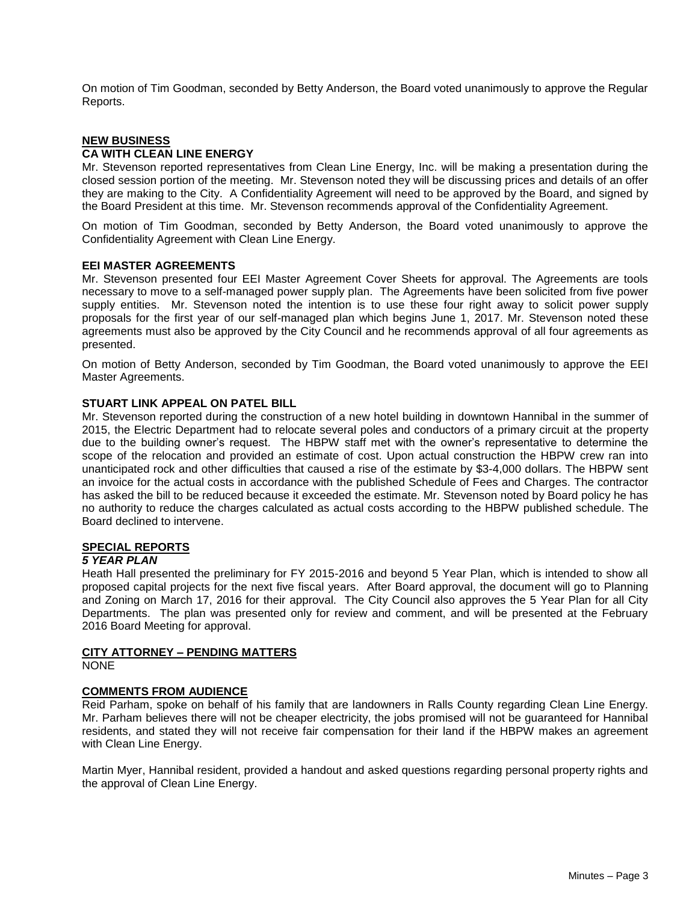On motion of Tim Goodman, seconded by Betty Anderson, the Board voted unanimously to approve the Regular Reports.

# **NEW BUSINESS**

# **CA WITH CLEAN LINE ENERGY**

Mr. Stevenson reported representatives from Clean Line Energy, Inc. will be making a presentation during the closed session portion of the meeting. Mr. Stevenson noted they will be discussing prices and details of an offer they are making to the City. A Confidentiality Agreement will need to be approved by the Board, and signed by the Board President at this time. Mr. Stevenson recommends approval of the Confidentiality Agreement.

On motion of Tim Goodman, seconded by Betty Anderson, the Board voted unanimously to approve the Confidentiality Agreement with Clean Line Energy.

### **EEI MASTER AGREEMENTS**

Mr. Stevenson presented four EEI Master Agreement Cover Sheets for approval. The Agreements are tools necessary to move to a self-managed power supply plan. The Agreements have been solicited from five power supply entities. Mr. Stevenson noted the intention is to use these four right away to solicit power supply proposals for the first year of our self-managed plan which begins June 1, 2017. Mr. Stevenson noted these agreements must also be approved by the City Council and he recommends approval of all four agreements as presented.

On motion of Betty Anderson, seconded by Tim Goodman, the Board voted unanimously to approve the EEI Master Agreements.

### **STUART LINK APPEAL ON PATEL BILL**

Mr. Stevenson reported during the construction of a new hotel building in downtown Hannibal in the summer of 2015, the Electric Department had to relocate several poles and conductors of a primary circuit at the property due to the building owner's request. The HBPW staff met with the owner's representative to determine the scope of the relocation and provided an estimate of cost. Upon actual construction the HBPW crew ran into unanticipated rock and other difficulties that caused a rise of the estimate by \$3-4,000 dollars. The HBPW sent an invoice for the actual costs in accordance with the published Schedule of Fees and Charges. The contractor has asked the bill to be reduced because it exceeded the estimate. Mr. Stevenson noted by Board policy he has no authority to reduce the charges calculated as actual costs according to the HBPW published schedule. The Board declined to intervene.

# **SPECIAL REPORTS**

### *5 YEAR PLAN*

Heath Hall presented the preliminary for FY 2015-2016 and beyond 5 Year Plan, which is intended to show all proposed capital projects for the next five fiscal years. After Board approval, the document will go to Planning and Zoning on March 17, 2016 for their approval. The City Council also approves the 5 Year Plan for all City Departments. The plan was presented only for review and comment, and will be presented at the February 2016 Board Meeting for approval.

### **CITY ATTORNEY – PENDING MATTERS**

NONE

### **COMMENTS FROM AUDIENCE**

Reid Parham, spoke on behalf of his family that are landowners in Ralls County regarding Clean Line Energy. Mr. Parham believes there will not be cheaper electricity, the jobs promised will not be guaranteed for Hannibal residents, and stated they will not receive fair compensation for their land if the HBPW makes an agreement with Clean Line Energy.

Martin Myer, Hannibal resident, provided a handout and asked questions regarding personal property rights and the approval of Clean Line Energy.